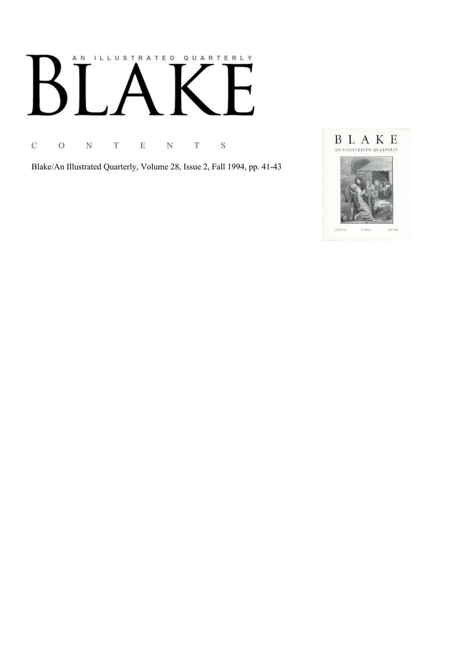# AN ILLUSTRATED QUARTERLY

C O N T E N T S

Blake/An Illustrated Quarterly, Volume 28, Issue 2, Fall 1994, pp. 41-43

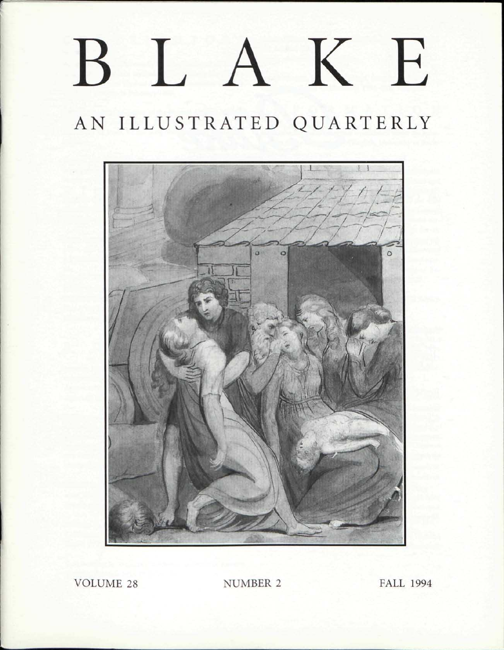## LA K E  $\bf{B}$

## AN ILLUSTRATED QUARTERLY



VOLUME 28 NUMBER 2 FALL 1994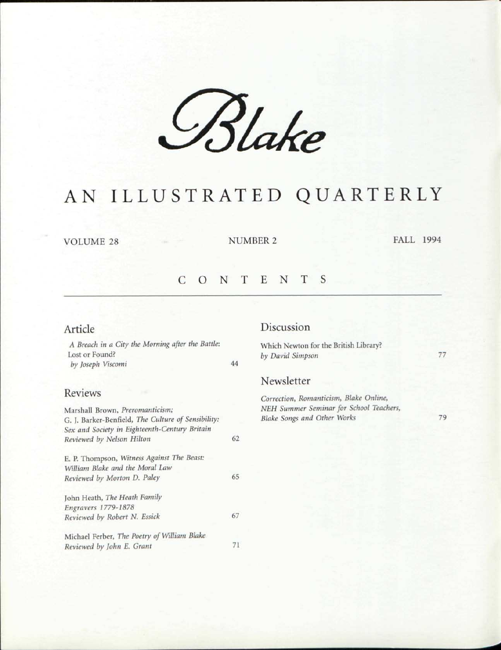*6§Ue* 

### AN ILLUSTRATED QUARTERLY

VOLUME 28 NUMBER 2 FALL 1994

#### CONTENT S

#### Article

*A Breach in a City the Morning after the Battle:*  Lost or Found? *by Joseph Viscomi* 44

#### Reviews

| Marshall Brown, Preromanticism;                    |    |
|----------------------------------------------------|----|
| G. J. Barker-Benfield, The Culture of Sensibility: |    |
| Sex and Society in Eighteenth-Century Britain      |    |
| Reviewed by Nelson Hilton                          | 62 |
| E. P. Thompson, Witness Against The Beast:         |    |
| William Blake and the Moral Law                    |    |
| Reviewed by Morton D. Paley                        | 65 |
| John Heath, The Heath Family                       |    |
| Engravers 1779-1878                                |    |
| Reviewed by Robert N. Essick                       | 67 |
| Michael Ferber, The Poetry of William Blake        |    |
| Reviewed by John E. Grant                          | 71 |

#### Discussion

Which Newton for the British Library? *by David Simpson* 

77

#### Newsletter

*Correction, Romanticism, Blake Online, NEH Summer Seminar for School Teachers, Blake Songs and Other Works* 

79